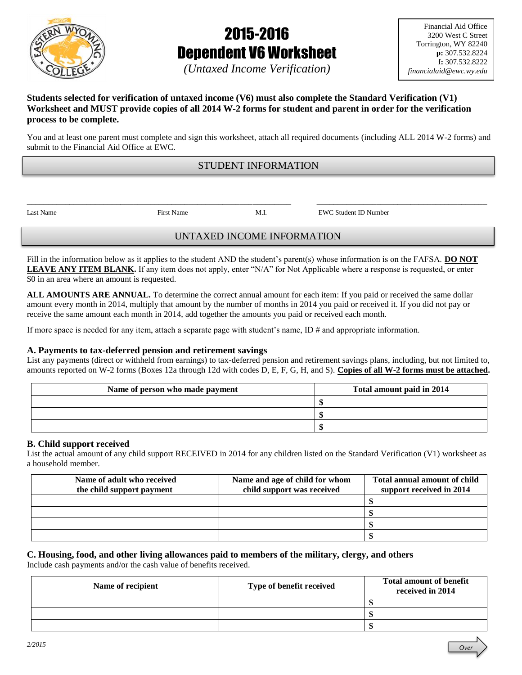

# 2015-2016 Dependent V6 Worksheet

*Over*

# *(Untaxed Income Verification)*

## **Students selected for verification of untaxed income (V6) must also complete the Standard Verification (V1) Worksheet and MUST provide copies of all 2014 W-2 forms for student and parent in order for the verification process to be complete.**

You and at least one parent must complete and sign this worksheet, attach all required documents (including ALL 2014 W-2 forms) and submit to the Financial Aid Office at EWC.

# STUDENT INFORMATION

\_\_\_\_\_\_\_\_\_\_\_\_\_\_\_\_\_\_\_\_\_\_\_\_\_\_\_\_\_\_\_\_\_\_\_\_\_\_\_\_\_\_\_\_\_\_\_\_\_\_\_\_\_\_\_\_\_\_\_\_\_\_ \_\_\_\_\_\_\_\_\_\_\_\_\_\_\_\_\_\_\_\_\_\_\_\_\_\_\_\_\_\_\_\_\_\_\_\_\_\_\_\_

Last Name First Name M.I. EWC Student ID Number

# UNTAXED INCOME INFORMATION

Fill in the information below as it applies to the student AND the student's parent(s) whose information is on the FAFSA. **DO NOT LEAVE ANY ITEM BLANK.** If any item does not apply, enter "N/A" for Not Applicable where a response is requested, or enter \$0 in an area where an amount is requested.

**ALL AMOUNTS ARE ANNUAL.** To determine the correct annual amount for each item: If you paid or received the same dollar amount every month in 2014, multiply that amount by the number of months in 2014 you paid or received it. If you did not pay or receive the same amount each month in 2014, add together the amounts you paid or received each month.

If more space is needed for any item, attach a separate page with student's name,  $ID \#$  and appropriate information.

# **A. Payments to tax-deferred pension and retirement savings**

List any payments (direct or withheld from earnings) to tax-deferred pension and retirement savings plans, including, but not limited to, amounts reported on W-2 forms (Boxes 12a through 12d with codes D, E, F, G, H, and S). **Copies of all W-2 forms must be attached.**

| Name of person who made payment | Total amount paid in 2014 |
|---------------------------------|---------------------------|
|                                 |                           |
|                                 |                           |
|                                 |                           |

## **B. Child support received**

List the actual amount of any child support RECEIVED in 2014 for any children listed on the Standard Verification (V1) worksheet as a household member.

| Name of adult who received | Name and age of child for whom | Total annual amount of child |
|----------------------------|--------------------------------|------------------------------|
| the child support payment  | child support was received     | support received in 2014     |
|                            |                                |                              |
|                            |                                |                              |
|                            |                                |                              |
|                            |                                |                              |

#### **C. Housing, food, and other living allowances paid to members of the military, clergy, and others** Include cash payments and/or the cash value of benefits received.

| Name of recipient | Type of benefit received | <b>Total amount of benefit</b><br>received in 2014 |
|-------------------|--------------------------|----------------------------------------------------|
|                   |                          |                                                    |
|                   |                          |                                                    |
|                   |                          |                                                    |